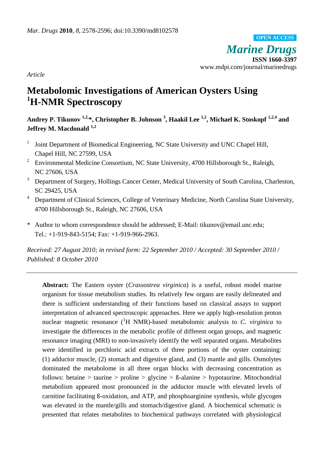*Marine Drugs* **ISSN 1660-3397** www.mdpi.com/journal/marinedrugs **OPEN ACCESS**

*Article*

# **Metabolomic Investigations of American Oysters Using <sup>1</sup>H-NMR Spectroscopy**

**Andrey P. Tikunov 1,2,\*, Christopher B. Johnson <sup>3</sup> , Haakil Lee 1,2, Michael K. Stoskopf 1,2,4 and Jeffrey M. Macdonald 1,2**

- 1 Joint Department of Biomedical Engineering, NC State University and UNC Chapel Hill, Chapel Hill, NC 27599, USA
- <sup>2</sup> Environmental Medicine Consortium, NC State University, 4700 Hillsborough St., Raleigh, NC 27606, USA
- <sup>3</sup> Department of Surgery, Hollings Cancer Center, Medical University of South Carolina, Charleston, SC 29425, USA
- <sup>4</sup> Department of Clinical Sciences, College of Veterinary Medicine, North Carolina State University, 4700 Hillsborough St., Raleigh, NC 27606, USA
- \* Author to whom correspondence should be addressed; E-Mail: tikunov@email.unc.edu; Tel.: +1-919-843-5154; Fax: +1-919-966-2963.

*Received: 27 August 2010; in revised form: 22 September 2010 / Accepted: 30 September 2010 / Published: 8 October 2010* 

**Abstract:** The Eastern oyster (*Crassostrea virginica*) is a useful, robust model marine organism for tissue metabolism studies. Its relatively few organs are easily delineated and there is sufficient understanding of their functions based on classical assays to support interpretation of advanced spectroscopic approaches. Here we apply high-resolution proton nuclear magnetic resonance  $({}^{1}H$  NMR)-based metabolomic analysis to *C. virginica* to investigate the differences in the metabolic profile of different organ groups, and magnetic resonance imaging (MRI) to non-invasively identify the well separated organs. Metabolites were identified in perchloric acid extracts of three portions of the oyster containing: (1) adductor muscle, (2) stomach and digestive gland, and (3) mantle and gills. Osmolytes dominated the metabolome in all three organ blocks with decreasing concentration as follows: betaine > taurine > proline > glycine > ß-alanine > hypotaurine. Mitochondrial metabolism appeared most pronounced in the adductor muscle with elevated levels of carnitine facilitating ß-oxidation, and ATP, and phosphoarginine synthesis, while glycogen was elevated in the mantle/gills and stomach/digestive gland. A biochemical schematic is presented that relates metabolites to biochemical pathways correlated with physiological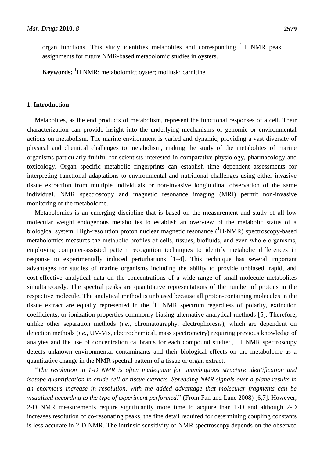organ functions. This study identifies metabolites and corresponding  ${}^{1}H$  NMR peak assignments for future NMR-based metabolomic studies in oysters.

**Keywords:** <sup>1</sup>H NMR; metabolomic; oyster; mollusk; carnitine

### **1. Introduction**

Metabolites, as the end products of metabolism, represent the functional responses of a cell. Their characterization can provide insight into the underlying mechanisms of genomic or environmental actions on metabolism. The marine environment is varied and dynamic, providing a vast diversity of physical and chemical challenges to metabolism, making the study of the metabolites of marine organisms particularly fruitful for scientists interested in comparative physiology, pharmacology and toxicology. Organ specific metabolic fingerprints can establish time dependent assessments for interpreting functional adaptations to environmental and nutritional challenges using either invasive tissue extraction from multiple individuals or non-invasive longitudinal observation of the same individual. NMR spectroscopy and magnetic resonance imaging (MRI) permit non-invasive monitoring of the metabolome.

Metabolomics is an emerging discipline that is based on the measurement and study of all low molecular weight endogenous metabolites to establish an overview of the metabolic status of a biological system. High-resolution proton nuclear magnetic resonance  $({}^{1}H\text{-NMR})$  spectroscopy-based metabolomics measures the metabolic profiles of cells, tissues, biofluids, and even whole organisms, employing computer-assisted pattern recognition techniques to identify metabolic differences in response to experimentally induced perturbations [1–4]. This technique has several important advantages for studies of marine organisms including the ability to provide unbiased, rapid, and cost-effective analytical data on the concentrations of a wide range of small-molecule metabolites simultaneously. The spectral peaks are quantitative representations of the number of protons in the respective molecule. The analytical method is unbiased because all proton-containing molecules in the tissue extract are equally represented in the  ${}^{1}H$  NMR spectrum regardless of polarity, extinction coefficients, or ionization properties commonly biasing alternative analytical methods [5]. Therefore, unlike other separation methods (*i.e.*, chromatography, electrophoresis), which are dependent on detection methods (*i.e.*, UV-Vis, electrochemical, mass spectrometry) requiring previous knowledge of analytes and the use of concentration calibrants for each compound studied,  $\rm{^{1}H}$  NMR spectroscopy detects unknown environmental contaminants and their biological effects on the metabolome as a quantitative change in the NMR spectral pattern of a tissue or organ extract.

―*The resolution in 1-D NMR is often inadequate for unambiguous structure identification and isotope quantification in crude cell or tissue extracts. Spreading NMR signals over a plane results in an enormous increase in resolution, with the added advantage that molecular fragments can be visualized according to the type of experiment performed.*" (From Fan and Lane 2008) [6,7]. However, 2-D NMR measurements require significantly more time to acquire than 1-D and although 2-D increases resolution of co-resonating peaks, the fine detail required for determining coupling constants is less accurate in 2-D NMR. The intrinsic sensitivity of NMR spectroscopy depends on the observed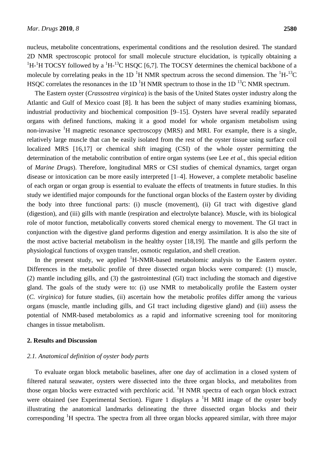nucleus, metabolite concentrations, experimental conditions and the resolution desired. The standard 2D NMR spectroscopic protocol for small molecule structure elucidation, is typically obtaining a  ${}^{1}$ H- ${}^{1}$ H TOCSY followed by a  ${}^{1}$ H- ${}^{13}$ C HSQC [6,7]. The TOCSY determines the chemical backbone of a molecule by correlating peaks in the 1D  $^{1}$ H NMR spectrum across the second dimension. The  $^{1}$ H- $^{13}$ C HSQC correlates the resonances in the 1D  ${}^{1}$ H NMR spectrum to those in the 1D  ${}^{13}$ C NMR spectrum.

The Eastern oyster (*Crassostrea virginica*) is the basis of the United States oyster industry along the Atlantic and Gulf of Mexico coast [8]. It has been the subject of many studies examining biomass, industrial productivity and biochemical composition [9–15]. Oysters have several readily separated organs with defined functions, making it a good model for whole organism metabolism using non-invasive  ${}^{1}H$  magnetic resonance spectroscopy (MRS) and MRI. For example, there is a single, relatively large muscle that can be easily isolated from the rest of the oyster tissue using surface coil localized MRS [16,17] or chemical shift imaging (CSI) of the whole oyster permitting the determination of the metabolic contribution of entire organ systems (see Lee *et al.*, this special edition of *Marine Drugs*). Therefore, longitudinal MRS or CSI studies of chemical dynamics, target organ disease or intoxication can be more easily interpreted [1–4]. However, a complete metabolic baseline of each organ or organ group is essential to evaluate the effects of treatments in future studies. In this study we identified major compounds for the functional organ blocks of the Eastern oyster by dividing the body into three functional parts: (i) muscle (movement), (ii) GI tract with digestive gland (digestion), and (iii) gills with mantle (respiration and electrolyte balance). Muscle, with its biological role of motor function, metabolically converts stored chemical energy to movement. The GI tract in conjunction with the digestive gland performs digestion and energy assimilation. It is also the site of the most active bacterial metabolism in the healthy oyster [18,19]. The mantle and gills perform the physiological functions of oxygen transfer, osmotic regulation, and shell creation.

In the present study, we applied  $H-MMR-based$  metabolomic analysis to the Eastern oyster. Differences in the metabolic profile of three dissected organ blocks were compared: (1) muscle, (2) mantle including gills, and (3) the gastrointestinal (GI) tract including the stomach and digestive gland. The goals of the study were to: (i) use NMR to metabolically profile the Eastern oyster (*C. virginica*) for future studies, (ii) ascertain how the metabolic profiles differ among the various organs (muscle, mantle including gills, and GI tract including digestive gland) and (iii) assess the potential of NMR-based metabolomics as a rapid and informative screening tool for monitoring changes in tissue metabolism.

#### **2. Results and Discussion**

#### *2.1. Anatomical definition of oyster body parts*

To evaluate organ block metabolic baselines, after one day of acclimation in a closed system of filtered natural seawater, oysters were dissected into the three organ blocks, and metabolites from those organ blocks were extracted with perchloric acid.  ${}^{1}H$  NMR spectra of each organ block extract were obtained (see Experimental Section). Figure 1 displays a  ${}^{1}H$  MRI image of the oyster body illustrating the anatomical landmarks delineating the three dissected organ blocks and their corresponding <sup>1</sup>H spectra. The spectra from all three organ blocks appeared similar, with three major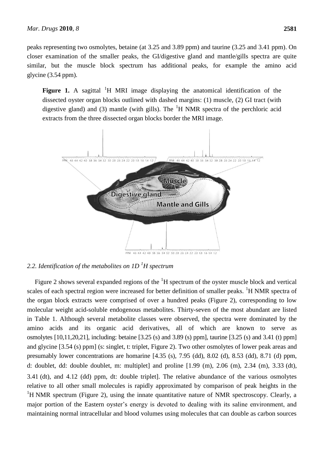peaks representing two osmolytes, betaine (at 3.25 and 3.89 ppm) and taurine (3.25 and 3.41 ppm). On closer examination of the smaller peaks, the GI/digestive gland and mantle/gills spectra are quite similar, but the muscle block spectrum has additional peaks, for example the amino acid glycine (3.54 ppm).

**Figure 1.** A sagittal <sup>1</sup>H MRI image displaying the anatomical identification of the dissected oyster organ blocks outlined with dashed margins: (1) muscle, (2) GI tract (with digestive gland) and (3) mantle (with gills). The  $H$  NMR spectra of the perchloric acid extracts from the three dissected organ blocks border the MRI image.



*2.2. Identification of the metabolites on 1D <sup>1</sup>H spectrum*

Figure 2 shows several expanded regions of the  ${}^{1}H$  spectrum of the oyster muscle block and vertical scales of each spectral region were increased for better definition of smaller peaks. <sup>1</sup>H NMR spectra of the organ block extracts were comprised of over a hundred peaks (Figure 2), corresponding to low molecular weight acid-soluble endogenous metabolites. Thirty-seven of the most abundant are listed in Table 1. Although several metabolite classes were observed, the spectra were dominated by the amino acids and its organic acid derivatives, all of which are known to serve as osmolytes [10,11,20,21], including: betaine [3.25 (s) and 3.89 (s) ppm], taurine [3.25 (s) and 3.41 (t) ppm] and glycine [3.54 (s) ppm] (s: singlet, t: triplet, Figure 2). Two other osmolytes of lower peak areas and presumably lower concentrations are homarine [4.35 (s), 7.95 (dd), 8.02 (d), 8.53 (dd), 8.71 (d) ppm, d: doublet, dd: double doublet, m: multiplet] and proline [1.99 (m), 2.06 (m), 2.34 (m), 3.33 (dt), 3.41 (dt), and 4.12 (dd) ppm, dt: double triplet]. The relative abundance of the various osmolytes relative to all other small molecules is rapidly approximated by comparison of peak heights in the  ${}^{1}$ H NMR spectrum (Figure 2), using the innate quantitative nature of NMR spectroscopy. Clearly, a major portion of the Eastern oyster's energy is devoted to dealing with its saline environment, and maintaining normal intracellular and blood volumes using molecules that can double as carbon sources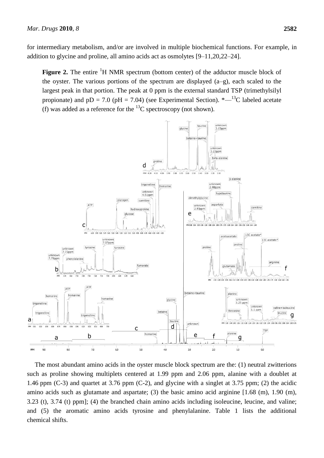for intermediary metabolism, and/or are involved in multiple biochemical functions. For example, in addition to glycine and proline, all amino acids act as osmolytes [9–11,20,22–24].

**Figure 2.** The entire <sup>1</sup>H NMR spectrum (bottom center) of the adductor muscle block of the oyster. The various portions of the spectrum are displayed (a–g), each scaled to the largest peak in that portion. The peak at 0 ppm is the external standard TSP (trimethylsilyl propionate) and  $pD = 7.0$  ( $pH = 7.04$ ) (see Experimental Section).  $\frac{m}{m}$  = 13<sup>2</sup>C labeled acetate (f) was added as a reference for the  $^{13}$ C spectroscopy (not shown).



The most abundant amino acids in the oyster muscle block spectrum are the: (1) neutral zwitterions such as proline showing multiplets centered at 1.99 ppm and 2.06 ppm, alanine with a doublet at 1.46 ppm (C-3) and quartet at 3.76 ppm (C-2), and glycine with a singlet at 3.75 ppm; (2) the acidic amino acids such as glutamate and aspartate; (3) the basic amino acid arginine [1.68 (m), 1.90 (m), 3.23 (t), 3.74 (t) ppm]; (4) the branched chain amino acids including isoleucine, leucine, and valine; and (5) the aromatic amino acids tyrosine and phenylalanine. Table 1 lists the additional chemical shifts.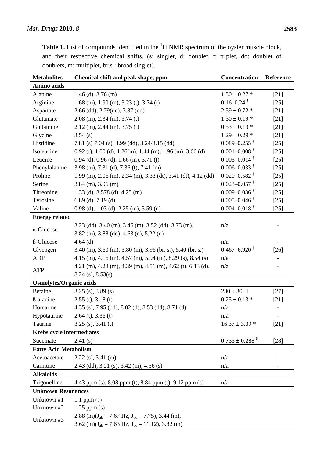| <b>Metabolites</b>               | Chemical shift and peak shape, ppm                                        | Concentration                   | Reference |  |
|----------------------------------|---------------------------------------------------------------------------|---------------------------------|-----------|--|
| Amino acids                      |                                                                           |                                 |           |  |
| Alanine                          | $1.46$ (d), $3.76$ (m)                                                    | $1.30 \pm 0.27$ *               | $[21]$    |  |
| Arginine                         | 1.68 (m), 1.90 (m), 3.23 (t), 3.74 (t)                                    | $0.16 - 0.24$ <sup>†</sup>      | $[25]$    |  |
| Aspartate                        | 2.66 (dd), 2.79(dd), 3.87 (dd)                                            | $2.59 \pm 0.72$ *               | $[21]$    |  |
| Glutamate                        | $2.08$ (m), $2.34$ (m), $3.74$ (t)                                        | $1.30 \pm 0.19$ *               | $[21]$    |  |
| Glutamine                        | $2.12$ (m), $2.44$ (m), $3.75$ (t)                                        | $0.53 \pm 0.13$ *               | $[21]$    |  |
| Glycine                          | 3.54(s)                                                                   | $1.29 \pm 0.29$ *               | $[21]$    |  |
| Histidine                        | 7.81 (s) 7.04 (s), 3.99 (dd), 3.24/3.15 (dd)                              | $0.089 - 0.255$ <sup>†</sup>    | $[25]$    |  |
| Isoleucine                       | $0.92$ (t), 1.00 (d), 1.26(m), 1.44 (m), 1.96 (m), 3.66 (d)               | $0.001 - 0.008$ <sup>†</sup>    | $[25]$    |  |
| Leucine                          | $0.94$ (d), $0.96$ (d), $1.66$ (m), $3.71$ (t)                            | $0.005 - 0.014$ <sup>†</sup>    | $[25]$    |  |
| Phenylalanine                    | $3.98$ (m), $7.31$ (d), $7.36$ (t), $7.41$ (m)                            | $0.006 - 0.033$ <sup>†</sup>    | $[25]$    |  |
| Proline                          | $1.99$ (m), $2.06$ (m), $2.34$ (m), $3.33$ (dt), $3.41$ (dt), $4.12$ (dd) | $0.020 - 0.582$ <sup>†</sup>    | $[25]$    |  |
| Serine                           | $3.84$ (m), $3.96$ (m)                                                    | $0.023 - 0.057$ <sup>†</sup>    | $[25]$    |  |
| Threonine                        | 1.33 (d), 3.578 (d), 4.25 (m)                                             | $0.009 - 0.036$ <sup>†</sup>    | $[25]$    |  |
| Tyrosine                         | $6.89$ (d), $7.19$ (d)                                                    | $0.005 - 0.046$ <sup>†</sup>    | $[25]$    |  |
| Valine                           | $0.98$ (d), $1.03$ (d), $2.25$ (m), $3.59$ (d)                            | $0.004 - 0.018$ <sup>†</sup>    | $[25]$    |  |
| <b>Energy related</b>            |                                                                           |                                 |           |  |
| $\alpha$ -Glucose                | $3.23$ (dd), $3.40$ (m), $3.46$ (m), $3.52$ (dd), $3.73$ (m),             | n/a                             |           |  |
|                                  | $3.82$ (m), $3.88$ (dd), $4.63$ (d), $5.22$ (d)                           |                                 |           |  |
| ß-Glucose                        | $4.64$ (d)                                                                | n/a                             |           |  |
| Glycogen                         | $3.40$ (m), $3.60$ (m), $3.80$ (m), $3.96$ (br. s.), $5.40$ (br. s.)      | $0.467 - 6.920$ <sup>‡</sup>    | $[26]$    |  |
| <b>ADP</b>                       | 4.15 (m), 4.16 (m), 4.57 (m), 5.94 (m), 8.29 (s), 8.54 (s)                | n/a                             |           |  |
| <b>ATP</b>                       | 4.21 (m), 4.28 (m), 4.39 (m), 4.51 (m), 4.62 (t), 6.13 (d),               | n/a                             |           |  |
|                                  | $8.24$ (s), $8.53$ (s)                                                    |                                 |           |  |
| <b>Osmolytes/Organic acids</b>   |                                                                           |                                 |           |  |
| <b>Betaine</b>                   | $3.25$ (s), $3.89$ (s)                                                    | 230 $\pm$ 30 $\Box$             | $[27]$    |  |
| <b>ß</b> -alanine                | $2.55$ (t), $3.18$ (t)                                                    | $0.25 \pm 0.13$ *               | $[21]$    |  |
| Homarine                         | 4.35 (s), 7.95 (dd), 8.02 (d), 8.53 (dd), 8.71 (d)                        | n/a                             |           |  |
| Hypotaurine                      | $2.64$ (t), $3.36$ (t)                                                    | n/a                             |           |  |
| Taurine                          | $3.25$ (s), $3.41$ (t)                                                    | $16.37 \pm 3.39$ *              | [21]      |  |
| <b>Krebs cycle intermediates</b> |                                                                           |                                 |           |  |
| Succinate                        | 2.41(s)                                                                   | $0.733\,\pm0.288$ $^{\text{E}}$ | [28]      |  |
| <b>Fatty Acid Metabolism</b>     |                                                                           |                                 |           |  |
| Acetoacetate                     | $2.22$ (s), 3.41 (m)                                                      | n/a                             |           |  |
| Carnitine                        | 2.43 (dd), 3.21 (s), 3.42 (m), 4.56 (s)                                   | n/a                             |           |  |
| <b>Alkaloids</b>                 |                                                                           |                                 |           |  |
| Trigonelline                     | 4.43 ppm (s), 8.08 ppm (t), 8.84 ppm (t), 9.12 ppm (s)                    | n/a                             |           |  |
| <b>Unknown Resonances</b>        |                                                                           |                                 |           |  |
| Unknown #1                       | $1.1$ ppm $(s)$                                                           |                                 |           |  |
| Unknown #2                       | $1.25$ ppm $(s)$                                                          |                                 |           |  |
| Unknown #3                       | 2.88 (m)( $J_{ab}$ = 7.67 Hz, $J_{bc}$ = 7.75), 3.44 (m),                 |                                 |           |  |
|                                  | 3.62 (m)( $J_{ab}$ = 7.63 Hz, $J_{bc}$ = 11.12), 3.82 (m)                 |                                 |           |  |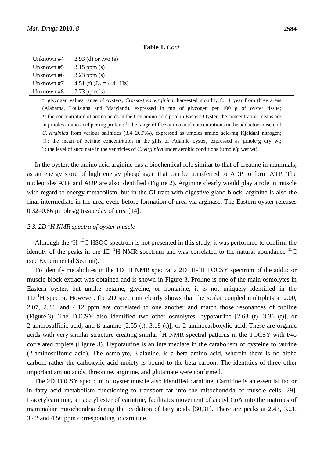Unknown  $#8$  7.73 ppm (s)

| <b>Table 1.</b> Com.                       |  |
|--------------------------------------------|--|
| Unknown #4 $2.93$ (d) or two (s)           |  |
| Unknown $#5$ 3.15 ppm (s)                  |  |
| Unknown #6 $3.23$ ppm (s)                  |  |
| Unknown #7 $4.51$ (t) $(J_{ab} = 4.41$ Hz) |  |

**Table 1.** *Cont.*

**‡** : glycogen values range of oysters, *Crassostrea virginica*, harvested monthly for 1 year from three areas (Alabama, Louisiana and Maryland), expressed in mg of glycogen per 100 g of oyster tissue; \*: the concentration of amino acids in the free amino acid pool in Eastern Oyster, the concentration means are in µmoles amino acid per mg protein; † : the range of free amino acid concentrations in the adductor muscle of *C. virginica* from various salinities (3.4–26.7‰), expressed as µmoles amino acid/mg Kjeldahl nitrogen;  $\Box$ : the mean of betaine concentration in the gills of Atlantic oyster, expressed as  $\mu$ mole/g dry wt;  $\epsilon$ : the level of succinate in the ventricles of *C. virginica* under aerobic conditions (µmole/g wet wt).

In the oyster, the amino acid arginine has a biochemical role similar to that of creatine in mammals, as an energy store of high energy phosphagen that can be transferred to ADP to form ATP. The nucleotides ATP and ADP are also identified (Figure 2). Arginine clearly would play a role in muscle with regard to energy metabolism, but in the GI tract with digestive gland block, arginine is also the final intermediate in the urea cycle before formation of urea via arginase. The Eastern oyster releases 0.32–0.86 µmoles/g tissue/day of urea [14].

## *2.3. 2D <sup>1</sup>H NMR spectra of oyster muscle*

Although the  ${}^{1}H_{1}^{13}C$  HSQC spectrum is not presented in this study, it was performed to confirm the identity of the peaks in the 1D  $^{1}$ H NMR spectrum and was correlated to the natural abundance  $^{13}$ C (see Experimental Section).

To identify metabolites in the 1D<sup>-1</sup>H NMR spectra, a 2D<sup>-1</sup>H-<sup>1</sup>H TOCSY spectrum of the adductor muscle block extract was obtained and is shown in Figure 3. Proline is one of the main osmolytes in Eastern oyster, but unlike betaine, glycine, or homarine, it is not uniquely identified in the  $1D<sup>-1</sup>H$  spectra. However, the 2D spectrum clearly shows that the scalar coupled multiplets at 2.00, 2.07, 2.34, and 4.12 ppm are correlated to one another and match those resonances of proline (Figure 3). The TOCSY also identified two other osmolytes, hypotaurine [2.63 (t), 3.36 (t)], or 2-aminosulfinic acid, and ß-alanine [2.55 (t), 3.18 (t)], or 2-aminocarboxylic acid. These are organic acids with very similar structure creating similar  ${}^{1}H$  NMR spectral patterns in the TOCSY with two correlated triplets (Figure 3). Hypotaurine is an intermediate in the catabolism of cysteine to taurine (2-aminosulfonic acid). The osmolyte, ß-alanine, is a beta amino acid, wherein there is no alpha carbon, rather the carboxylic acid moiety is bound to the beta carbon. The identities of three other important amino acids, threonine, arginine, and glutamate were confirmed.

The 2D TOCSY spectrum of oyster muscle also identified carnitine. Carnitine is an essential factor in fatty acid metabolism functioning to transport fat into the mitochondria of muscle cells [29]. L-acetylcarnitine, an acetyl ester of carnitine, facilitates movement of acetyl CoA into the matrices of mammalian mitochondria during the oxidation of fatty acids [30,31]. There are peaks at 2.43, 3.21, 3.42 and 4.56 ppm corresponding to carnitine.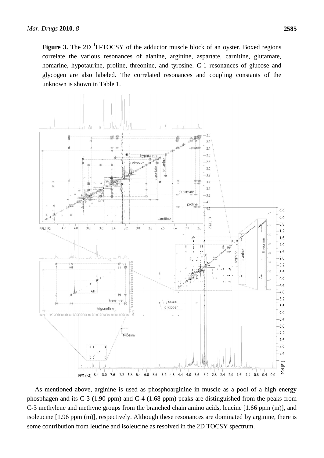**Figure 3.** The 2D <sup>1</sup>H-TOCSY of the adductor muscle block of an oyster. Boxed regions correlate the various resonances of alanine, arginine, aspartate, carnitine, glutamate, homarine, hypotaurine, proline, threonine, and tyrosine. C-1 resonances of glucose and glycogen are also labeled. The correlated resonances and coupling constants of the unknown is shown in Table 1.



As mentioned above, arginine is used as phosphoarginine in muscle as a pool of a high energy phosphagen and its C-3 (1.90 ppm) and C-4 (1.68 ppm) peaks are distinguished from the peaks from C-3 methylene and methyne groups from the branched chain amino acids, leucine [1.66 ppm (m)], and isoleucine [1.96 ppm (m)], respectively. Although these resonances are dominated by arginine, there is some contribution from leucine and isoleucine as resolved in the 2D TOCSY spectrum.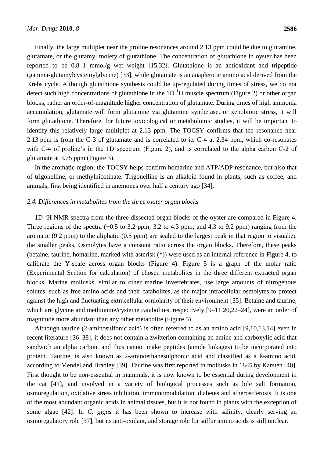Finally, the large multiplet near the proline resonances around 2.13 ppm could be due to glutamine, glutamate, or the glutamyl moiety of glutathione. The concentration of glutathione in oyster has been reported to be 0.8–1 mmol/g wet weight [15,32]. Glutathione is an antioxidant and tripeptide (gamma-glutamylcysteinylglycine) [33], while glutamate is an anaplerotic amino acid derived from the Krebs cycle. Although glutathione synthesis could be up-regulated during times of stress, we do not detect such high concentrations of glutathione in the 1D  $\rm{^1H}$  muscle spectrum (Figure 2) or other organ blocks, rather an order-of-magnitude higher concentration of glutamate. During times of high ammonia accumulation, glutamate will form glutamine via glutamine synthetase, or xenobiotic stress, it will form glutathione. Therefore, for future toxicological or metabolomic studies, it will be important to identify this relatively large multiplet at 2.13 ppm. The TOCSY confirms that the resonance near 2.13 ppm is from the C-3 of glutamate and is correlated to its C-4 at 2.34 ppm, which co-resonates with C-4 of proline's in the 1D spectrum (Figure 2), and is correlated to the alpha carbon C-2 of glutamate at 3.75 ppm (Figure 3).

In the aromatic region, the TOCSY helps confirm homarine and ATP/ADP resonance, but also that of trigonelline, or methylnicotinate. Trigonelline is an alkaloid found in plants, such as coffee, and animals, first being identified in anemones over half a century ago [34].

#### *2.4. Differences in metabolites from the three oyster organ blocks*

 $1D<sup>-1</sup>H NMR$  spectra from the three dissected organ blocks of the oyster are compared in Figure 4. Three regions of the spectra (−0.5 to 3.2 ppm; 3.2 to 4.3 ppm; and 4.3 to 9.2 ppm) ranging from the aromatic (9.2 ppm) to the aliphatic (0.5 ppm) are scaled to the largest peak in that region to visualize the smaller peaks. Osmolytes have a constant ratio across the organ blocks. Therefore, these peaks (betaine, taurine, homarine, marked with asterisk (\*)) were used as an internal reference in Figure 4, to calibrate the Y-scale across organ blocks (Figure 4). Figure 5 is a graph of the molar ratio (Experimental Section for calculation) of chosen metabolites in the three different extracted organ blocks. Marine mollusks, similar to other marine invertebrates, use large amounts of nitrogenous solutes, such as free amino acids and their catabolites, as the major intracellular osmolytes to protect against the high and fluctuating extracellular osmolarity of their environment [35]. Betaine and taurine, which are glycine and methionine/cysteine catabolites, respectively  $[9-11,20,22-24]$ , were an order of magnitude more abundant than any other metabolite (Figure 5).

Although taurine (2-aminosulfonic acid) is often referred to as an amino acid [9,10,13,14] even in recent literature [36–38], it does not contain a zwitterion containing an amine and carboxylic acid that sandwich an alpha carbon, and thus cannot make peptides (amide linkages) to be incorporated into protein. Taurine, is also known as 2-aminoethanesulphonic acid and classified as a ß-amino acid, according to Mendel and Bradley [39]. Taurine was first reported in mollusks in 1845 by Karsten [40]. First thought to be non-essential in mammals, it is now known to be essential during development in the cat [41], and involved in a variety of biological processes such as bile salt formation, osmoregulation, oxidative stress inhibition, immunomodulation, diabetes and atherosclerosis. It is one of the most abundant organic acids in animal tissues, but it is not found in plants with the exception of some algae [42]. In *C. gigas* it has been shown to increase with salinity, clearly serving an osmoregulatory role [37], but its anti-oxidant, and storage role for sulfur amino acids is still unclear.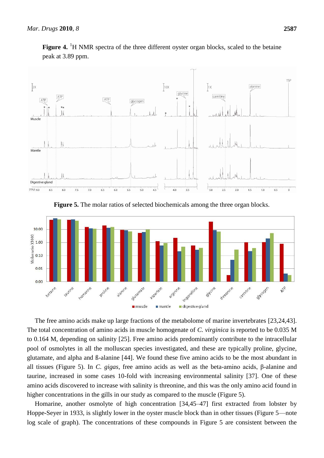

**Figure 4.** <sup>1</sup>H NMR spectra of the three different oyster organ blocks, scaled to the betaine peak at 3.89 ppm.

**Figure 5.** The molar ratios of selected biochemicals among the three organ blocks.



The free amino acids make up large fractions of the metabolome of marine invertebrates [23,24,43]. The total concentration of amino acids in muscle homogenate of *C. virginica* is reported to be 0.035 M to 0.164 M, depending on salinity [25]. Free amino acids predominantly contribute to the intracellular pool of osmolytes in all the molluscan species investigated, and these are typically proline, glycine, glutamate, and alpha and ß-alanine [44]. We found these five amino acids to be the most abundant in all tissues (Figure 5). In *C. gigas*, free amino acids as well as the beta-amino acids, β-alanine and taurine, increased in some cases 10-fold with increasing environmental salinity [37]. One of these amino acids discovered to increase with salinity is threonine, and this was the only amino acid found in higher concentrations in the gills in our study as compared to the muscle (Figure 5).

Homarine, another osmolyte of high concentration [34,45–47] first extracted from lobster by Hoppe-Seyer in 1933, is slightly lower in the oyster muscle block than in other tissues (Figure 5—note log scale of graph). The concentrations of these compounds in Figure 5 are consistent between the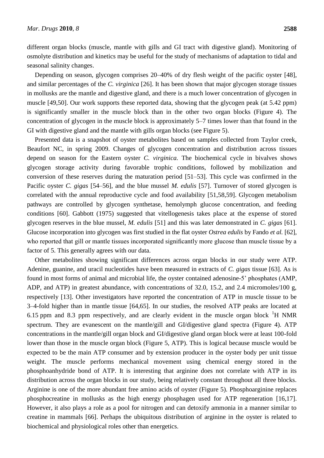different organ blocks (muscle, mantle with gills and GI tract with digestive gland). Monitoring of osmolyte distribution and kinetics may be useful for the study of mechanisms of adaptation to tidal and seasonal salinity changes.

Depending on season, glycogen comprises 20–40% of dry flesh weight of the pacific oyster [48], and similar percentages of the *C. virginica* [26]. It has been shown that major glycogen storage tissues in mollusks are the mantle and digestive gland, and there is a much lower concentration of glycogen in muscle [49,50]. Our work supports these reported data, showing that the glycogen peak (at 5.42 ppm) is significantly smaller in the muscle block than in the other two organ blocks (Figure 4). The concentration of glycogen in the muscle block is approximately 5–7 times lower than that found in the GI with digestive gland and the mantle with gills organ blocks (see Figure 5).

Presented data is a snapshot of oyster metabolites based on samples collected from Taylor creek, Beaufort NC, in spring 2009. Changes of glycogen concentration and distribution across tissues depend on season for the Eastern oyster *C. virginica.* The biochemical cycle in bivalves shows glycogen storage activity during favorable trophic conditions, followed by mobilization and conversion of these reserves during the maturation period [51–53]. This cycle was confirmed in the Pacific oyster *C. gigas* [54–56], and the blue mussel *M. edulis* [57]. Turnover of stored glycogen is correlated with the annual reproductive cycle and food availability [51,58,59]. Glycogen metabolism pathways are controlled by glycogen synthetase, hemolymph glucose concentration, and feeding conditions [60]. Gabbott (1975) suggested that vitellogenesis takes place at the expense of stored glycogen reserves in the blue mussel, *M. edulis* [51] and this was later demonstrated in *C. gigas* [61]. Glucose incorporation into glycogen was first studied in the flat oyster *Ostrea edulis* by Fando *et al.* [62], who reported that gill or mantle tissues incorporated significantly more glucose than muscle tissue by a factor of 5. This generally agrees with our data.

Other metabolites showing significant differences across organ blocks in our study were ATP. Adenine, guanine, and uracil nucleotides have been measured in extracts of *C. gigas* tissue [63]. As is found in most forms of animal and microbial life, the oyster contained adenosine-5' phosphates (AMP, ADP, and ATP) in greatest abundance, with concentrations of 32.0, 15.2, and 2.4 micromoles/100 g, respectively [13]. Other investigators have reported the concentration of ATP in muscle tissue to be 3–4-fold higher than in mantle tissue [64,65]. In our studies, the resolved ATP peaks are located at 6.15 ppm and 8.3 ppm respectively, and are clearly evident in the muscle organ block  ${}^{1}H$  NMR spectrum. They are evanescent on the mantle/gill and GI/digestive gland spectra (Figure 4). ATP concentrations in the mantle/gill organ block and GI/digestive gland organ block were at least 100-fold lower than those in the muscle organ block (Figure 5, ATP). This is logical because muscle would be expected to be the main ATP consumer and by extension producer in the oyster body per unit tissue weight. The muscle performs mechanical movement using chemical energy stored in the phosphoanhydride bond of ATP. It is interesting that arginine does not correlate with ATP in its distribution across the organ blocks in our study, being relatively constant throughout all three blocks. Arginine is one of the more abundant free amino acids of oyster (Figure 5). Phosphoarginine replaces phosphocreatine in mollusks as the high energy phosphagen used for ATP regeneration [16,17]. However, it also plays a role as a pool for nitrogen and can detoxify ammonia in a manner similar to creatine in mammals [66]. Perhaps the ubiquitous distribution of arginine in the oyster is related to biochemical and physiological roles other than energetics.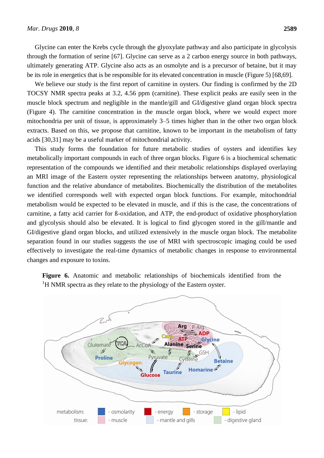Glycine can enter the Krebs cycle through the glyoxylate pathway and also participate in glycolysis through the formation of serine [67]. Glycine can serve as a 2 carbon energy source in both pathways, ultimately generating ATP. Glycine also acts as an osmolyte and is a precursor of betaine, but it may be its role in energetics that is be responsible for its elevated concentration in muscle (Figure 5) [68,69].

We believe our study is the first report of carnitine in oysters. Our finding is confirmed by the 2D TOCSY NMR spectra peaks at 3.2, 4.56 ppm (carnitine). These explicit peaks are easily seen in the muscle block spectrum and negligible in the mantle/gill and GI/digestive gland organ block spectra (Figure 4). The carnitine concentration in the muscle organ block, where we would expect more mitochondria per unit of tissue, is approximately 3–5 times higher than in the other two organ block extracts. Based on this, we propose that carnitine, known to be important in the metabolism of fatty acids [30,31] may be a useful marker of mitochondrial activity.

This study forms the foundation for future metabolic studies of oysters and identifies key metabolically important compounds in each of three organ blocks. Figure 6 is a biochemical schematic representation of the compounds we identified and their metabolic relationships displayed overlaying an MRI image of the Eastern oyster representing the relationships between anatomy, physiological function and the relative abundance of metabolites. Biochemically the distribution of the metabolites we identified corresponds well with expected organ block functions. For example, mitochondrial metabolism would be expected to be elevated in muscle, and if this is the case, the concentrations of carnitine, a fatty acid carrier for ß-oxidation, and ATP, the end-product of oxidative phosphorylation and glycolysis should also be elevated. It is logical to find glycogen stored in the gill/mantle and GI/digestive gland organ blocks, and utilized extensively in the muscle organ block. The metabolite separation found in our studies suggests the use of MRI with spectroscopic imaging could be used effectively to investigate the real-time dynamics of metabolic changes in response to environmental changes and exposure to toxins.

**Figure 6.** Anatomic and metabolic relationships of biochemicals identified from the <sup>1</sup>H NMR spectra as they relate to the physiology of the Eastern oyster.

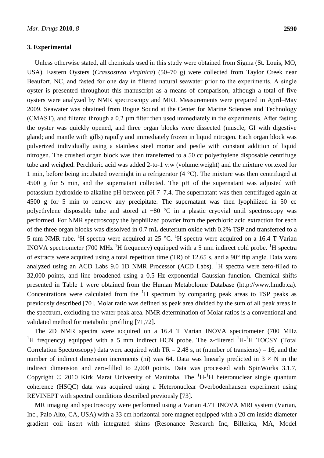#### **3. Experimental**

Unless otherwise stated, all chemicals used in this study were obtained from Sigma (St. Louis, MO, USA). Eastern Oysters (*Crassostrea virginica*) (50–70 g) were collected from Taylor Creek near Beaufort, NC, and fasted for one day in filtered natural seawater prior to the experiments. A single oyster is presented throughout this manuscript as a means of comparison, although a total of five oysters were analyzed by NMR spectroscopy and MRI. Measurements were prepared in April–May 2009. Seawater was obtained from Bogue Sound at the Center for Marine Sciences and Technology (CMAST), and filtered through a 0.2 µm filter then used immediately in the experiments. After fasting the oyster was quickly opened, and three organ blocks were dissected (muscle; GI with digestive gland; and mantle with gills) rapidly and immediately frozen in liquid nitrogen. Each organ block was pulverized individually using a stainless steel mortar and pestle with constant addition of liquid nitrogen. The crushed organ block was then transferred to a 50 cc polyethylene disposable centrifuge tube and weighed. Perchloric acid was added 2-to-1 v:w (volume:weight) and the mixture vortexed for 1 min, before being incubated overnight in a refrigerator (4 °C). The mixture was then centrifuged at 4500 g for 5 min, and the supernatant collected. The pH of the supernatant was adjusted with potassium hydroxide to alkaline pH between pH 7–7.4. The supernatant was then centrifuged again at 4500 g for 5 min to remove any precipitate. The supernatant was then lyophilized in 50 cc polyethylene disposable tube and stored at −80 °C in a plastic cryovial until spectroscopy was performed. For NMR spectroscopy the lyophilized powder from the perchloric acid extraction for each of the three organ blocks was dissolved in 0.7 mL deuterium oxide with 0.2% TSP and transferred to a 5 mm NMR tube. <sup>1</sup>H spectra were acquired at 25 °C. <sup>1</sup>H spectra were acquired on a 16.4 T Varian INOVA spectrometer (700 MHz  $^{1}$ H frequency) equipped with a 5 mm indirect cold probe. <sup>1</sup>H spectra of extracts were acquired using a total repetition time (TR) of 12.65 s, and a 90°flip angle. Data were analyzed using an ACD Labs 9.0 1D NMR Processor (ACD Labs). <sup>1</sup>H spectra were zero-filled to 32,000 points, and line broadened using a 0.5 Hz exponential Gaussian function. Chemical shifts presented in Table 1 were obtained from the Human Metabolome Database (http://www.hmdb.ca). Concentrations were calculated from the  ${}^{1}H$  spectrum by comparing peak areas to TSP peaks as previously described [70]. Molar ratio was defined as peak area divided by the sum of all peak areas in the spectrum, excluding the water peak area. NMR determination of Molar ratios is a conventional and validated method for metabolic profiling [71,72].

The 2D NMR spectra were acquired on a 16.4 T Varian INOVA spectrometer (700 MHz <sup>1</sup>H frequency) equipped with a 5 mm indirect HCN probe. The z-filtered <sup>1</sup>H-<sup>1</sup>H TOCSY (Total Correlation Spectroscopy) data were acquired with  $TR = 2.48$  s, nt (number of transients) = 16, and the number of indirect dimension increments (ni) was 64. Data was linearly predicted in  $3 \times N$  in the indirect dimension and zero-filled to 2,000 points. Data was processed with SpinWorks 3.1.7, Copyright  $\odot$  2010 Kirk Marat University of Manitoba. The  ${}^{1}H$ - ${}^{1}H$  heteronuclear single quantum coherence (HSQC) data was acquired using a Heteronuclear Overbodenhausen experiment using REVINEPT with spectral conditions described previously [73].

MR imaging and spectroscopy were performed using a Varian 4.7T INOVA MRI system (Varian, Inc., Palo Alto, CA, USA) with a 33 cm horizontal bore magnet equipped with a 20 cm inside diameter gradient coil insert with integrated shims (Resonance Research Inc, Billerica, MA, Model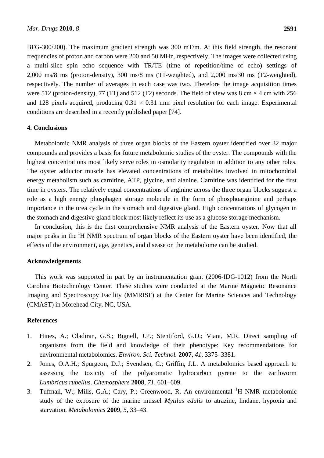BFG-300/200). The maximum gradient strength was 300 mT/m. At this field strength, the resonant frequencies of proton and carbon were 200 and 50 MHz, respectively. The images were collected using a multi-slice spin echo sequence with TR/TE (time of repetition/time of echo) settings of 2,000 ms/8 ms (proton-density), 300 ms/8 ms (T1-weighted), and 2,000 ms/30 ms (T2-weighted), respectively. The number of averages in each case was two. Therefore the image acquisition times were 512 (proton-density), 77 (T1) and 512 (T2) seconds. The field of view was 8 cm  $\times$  4 cm with 256 and 128 pixels acquired, producing  $0.31 \times 0.31$  mm pixel resolution for each image. Experimental conditions are described in a recently published paper [74].

#### **4. Conclusions**

Metabolomic NMR analysis of three organ blocks of the Eastern oyster identified over 32 major compounds and provides a basis for future metabolomic studies of the oyster. The compounds with the highest concentrations most likely serve roles in osmolarity regulation in addition to any other roles. The oyster adductor muscle has elevated concentrations of metabolites involved in mitochondrial energy metabolism such as carnitine, ATP, glycine, and alanine. Carnitine was identified for the first time in oysters. The relatively equal concentrations of arginine across the three organ blocks suggest a role as a high energy phosphagen storage molecule in the form of phosphoarginine and perhaps importance in the urea cycle in the stomach and digestive gland. High concentrations of glycogen in the stomach and digestive gland block most likely reflect its use as a glucose storage mechanism.

In conclusion, this is the first comprehensive NMR analysis of the Eastern oyster. Now that all major peaks in the  ${}^{1}H$  NMR spectrum of organ blocks of the Eastern oyster have been identified, the effects of the environment, age, genetics, and disease on the metabolome can be studied.

#### **Acknowledgements**

This work was supported in part by an instrumentation grant (2006-IDG-1012) from the North Carolina Biotechnology Center. These studies were conducted at the Marine Magnetic Resonance Imaging and Spectroscopy Facility (MMRISF) at the Center for Marine Sciences and Technology (CMAST) in Morehead City, NC, USA.

## **References**

- 1. Hines, A.; Oladiran, G.S.; Bignell, J.P.; Stentiford, G.D.; Viant, M.R. Direct sampling of organisms from the field and knowledge of their phenotype: Key recommendations for environmental metabolomics. *Environ. Sci. Technol.* **2007**, *41*, 3375–3381.
- 2. Jones, O.A.H.; Spurgeon, D.J.; Svendsen, C.; Griffin, J.L. A metabolomics based approach to assessing the toxicity of the polyaromatic hydrocarbon pyrene to the earthworm *Lumbricus rubellus*. *Chemosphere* **2008**, *71*, 601–609.
- 3. Tuffnail, W.; Mills, G.A.; Cary, P.; Greenwood, R. An environmental <sup>1</sup>H NMR metabolomic study of the exposure of the marine mussel *Mytilus edulis* to atrazine, lindane, hypoxia and starvation. *Metabolomics* **2009**, *5*, 33–43.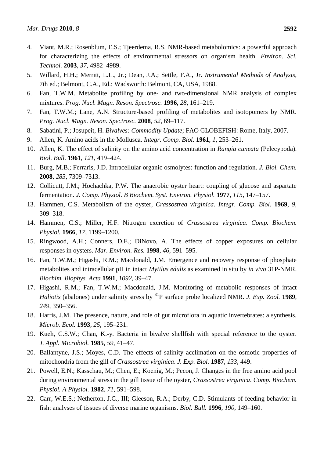- 4. Viant, M.R.; Rosenblum, E.S.; Tjeerdema, R.S. NMR-based metabolomics: a powerful approach for characterizing the effects of environmental stressors on organism health. *Environ. Sci. Technol.* **2003**, *37*, 4982–4989.
- 5. Willard, H.H.; Merritt, L.L., Jr.; Dean, J.A.; Settle, F.A., Jr. *Instrumental Methods of Analysis*, 7th ed.; Belmont, C.A., Ed.; Wadsworth: Belmont, CA, USA, 1988.
- 6. Fan, T.W.M. Metabolite profiling by one- and two-dimensional NMR analysis of complex mixtures. *Prog. Nucl. Magn. Reson. Spectrosc.* **1996**, *28*, 161–219.
- 7. Fan, T.W.M.; Lane, A.N. Structure-based profiling of metabolites and isotopomers by NMR. *Prog. Nucl. Magn. Reson. Spectrosc.* **2008**, *52*, 69–117.
- 8. Sabatini, P.; Josupeit, H. *Bivalves: Commodity Update*; FAO GLOBEFISH: Rome, Italy, 2007.
- 9. Allen, K. Amino acids in the Mollusca. *Integr. Comp. Biol.* **1961**, *1*, 253–261.
- 10. Allen, K. The effect of salinity on the amino acid concentration in *Rangia cuneata* (Pelecypoda). *Biol. Bull.* **1961**, *121*, 419–424.
- 11. Burg, M.B.; Ferraris, J.D. Intracellular organic osmolytes: function and regulation. *J. Biol. Chem.* **2008**, *283*, 7309–7313.
- 12. Collicutt, J.M.; Hochachka, P.W. The anaerobic oyster heart: coupling of glucose and aspartate fermentation. *J. Comp. Physiol. B Biochem. Syst. Environ. Physiol.* **1977**, *115*, 147–157.
- 13. Hammen, C.S. Metabolism of the oyster, *Crassostrea virginica*. *Integr. Comp. Biol.* **1969**, *9*, 309–318.
- 14. Hammen, C.S.; Miller, H.F. Nitrogen excretion of *Crassostrea virginica*. *Comp. Biochem. Physiol.* **1966**, *17*, 1199–1200.
- 15. Ringwood, A.H.; Conners, D.E.; DiNovo, A. The effects of copper exposures on cellular responses in oysters. *Mar. Environ. Res.* **1998**, *46*, 591–595.
- 16. Fan, T.W.M.; Higashi, R.M.; Macdonald, J.M. Emergence and recovery response of phosphate metabolites and intracellular pH in intact *Mytilus edulis* as examined in situ by *in vivo* 31P-NMR. *Biochim. Biophys. Acta* **1991**, *1092*, 39–47.
- 17. Higashi, R.M.; Fan, T.W.M.; Macdonald, J.M. Monitoring of metabolic responses of intact *Haliotis* (abalones) under salinity stress by <sup>31</sup>P surface probe localized NMR. *J. Exp. Zool.* **1989**, *249*, 350–356.
- 18. Harris, J.M. The presence, nature, and role of gut microflora in aquatic invertebrates: a synthesis. *Microb. Ecol.* **1993**, *25*, 195–231.
- 19. Kueh, C.S.W.; Chan, K.-y. Bacteria in bivalve shellfish with special reference to the oyster. *J. Appl. Microbiol.* **1985**, *59*, 41–47.
- 20. Ballantyne, J.S.; Moyes, C.D. The effects of salinity acclimation on the osmotic properties of mitochondria from the gill of *Crassostrea virginica*. *J. Exp. Biol.* **1987**, *133*, 449.
- 21. Powell, E.N.; Kasschau, M.; Chen, E.; Koenig, M.; Pecon, J. Changes in the free amino acid pool during environmental stress in the gill tissue of the oyster, *Crassostrea virginica*. *Comp. Biochem. Physiol. A Physiol.* **1982**, *71*, 591–598.
- 22. Carr, W.E.S.; Netherton, J.C., III; Gleeson, R.A.; Derby, C.D. Stimulants of feeding behavior in fish: analyses of tissues of diverse marine organisms. *Biol. Bull.* **1996**, *190*, 149–160.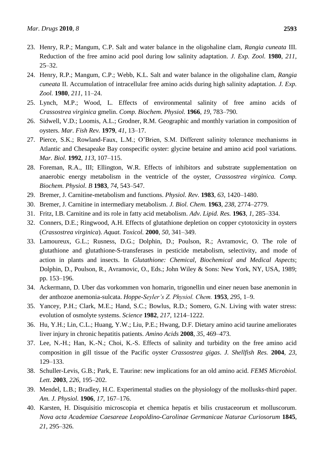- 23. Henry, R.P.; Mangum, C.P. Salt and water balance in the oligohaline clam, *Rangia cuneata* III. Reduction of the free amino acid pool during low salinity adaptation. *J. Exp. Zool.* **1980**, *211*, 25–32.
- 24. Henry, R.P.; Mangum, C.P.; Webb, K.L. Salt and water balance in the oligohaline clam, *Rangia cuneata* II. Accumulation of intracellular free amino acids during high salinity adaptation. *J. Exp. Zool.* **1980**, *211*, 11–24.
- 25. Lynch, M.P.; Wood, L. Effects of environmental salinity of free amino acids of *Crassostrea virginica* gmelin. *Comp. Biochem. Physiol.* **1966**, *19*, 783–790.
- 26. Sidwell, V.D.; Loomis, A.L.; Grodner, R.M. Geographic and monthly variation in composition of oysters. *Mar. Fish Rev.* **1979**, *41*, 13–17.
- 27. Pierce, S.K.; Rowland-Faux, L.M.; O'Brien, S.M. Different salinity tolerance mechanisms in Atlantic and Chesapeake Bay conspecific oyster: glycine betaine and amino acid pool variations. *Mar. Biol.* **1992**, *113*, 107–115.
- 28. Foreman, R.A., III; Ellington, W.R. Effects of inhibitors and substrate supplementation on anaerobic energy metabolism in the ventricle of the oyster, *Crassostrea virginica. Comp. Biochem. Physiol. B* **1983**, *74*, 543–547.
- 29. Bremer, J. Carnitine-metabolism and functions. *Physiol. Rev.* **1983**, *63*, 1420–1480.
- 30. Bremer, J. Carnitine in intermediary metabolism. *J. Biol. Chem.* **1963**, *238*, 2774–2779.
- 31. Fritz, I.B. Carnitine and its role in fatty acid metabolism. *Adv. Lipid. Res.* **1963**, *1*, 285–334.
- 32. Conners, D.E.; Ringwood, A.H. Effects of glutathione depletion on copper cytotoxicity in oysters (*Crassostrea virginica*). *Aquat. Toxicol.* **2000**, *50*, 341–349.
- 33. Lamoureux, G.L.; Rusness, D.G.; Dolphin, D.; Poulson, R.; Avramovic, O. The role of glutathione and glutathione-S-transferases in pesticide metabolism, selectivity, and mode of action in plants and insects. In *Glutathione: Chemical, Biochemical and Medical Aspects*; Dolphin, D., Poulson, R., Avramovic, O., Eds.; John Wiley & Sons: New York, NY, USA, 1989; pp. 153–196.
- 34. Ackermann, D. Uber das vorkommen von homarin, trigonellin und einer neuen base anemonin in der anthozoe anemonia-sulcata. *Hoppe-Seyler's Z. Physiol. Chem.* **1953**, *295*, 1–9.
- 35. Yancey, P.H.; Clark, M.E.; Hand, S.C.; Bowlus, R.D.; Somero, G.N. Living with water stress: evolution of osmolyte systems. *Science* **1982**, *217*, 1214–1222.
- 36. Hu, Y.H.; Lin, C.L.; Huang, Y.W.; Liu, P.E.; Hwang, D.F. Dietary amino acid taurine ameliorates liver injury in chronic hepatitis patients. *Amino Acids* **2008**, *35*, 469–473.
- 37. Lee, N.-H.; Han, K.-N.; Choi, K.-S. Effects of salinity and turbidity on the free amino acid composition in gill tissue of the Pacific oyster *Crassostrea gigas*. *J. Shellfish Res.* **2004**, *23*, 129–133.
- 38. Schuller-Levis, G.B.; Park, E. Taurine: new implications for an old amino acid. *FEMS Microbiol. Lett.* **2003**, *226*, 195–202.
- 39. Mendel, L.B.; Bradley, H.C. Experimental studies on the physiology of the mollusks-third paper. *Am. J. Physiol.* **1906**, *17*, 167–176.
- 40. Karsten, H. Disquisitio microscopia et chemica hepatis et bilis crustaceorum et molluscorum. *Nova acta Academiae Caesareae Leopoldino-Carolinae Germanicae Naturae Curiosorum* **1845**, *21*, 295–326.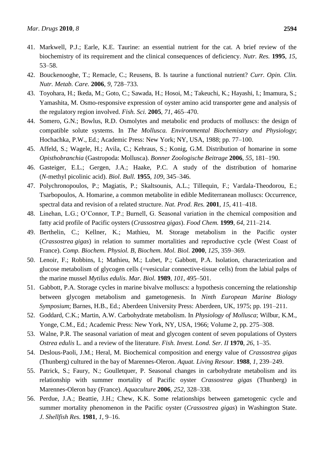- 41. Markwell, P.J.; Earle, K.E. Taurine: an essential nutrient for the cat. A brief review of the biochemistry of its requirement and the clinical consequences of deficiency. *Nutr. Res.* **1995**, *15*, 53–58.
- 42. Bouckenooghe, T.; Remacle, C.; Reusens, B. Is taurine a functional nutrient? *Curr. Opin. Clin. Nutr. Metab. Care.* **2006**, *9*, 728–733.
- 43. Toyohara, H.; Ikeda, M.; Goto, C.; Sawada, H.; Hosoi, M.; Takeuchi, K.; Hayashi, I.; Imamura, S.; Yamashita, M. Osmo-responsive expression of oyster amino acid transporter gene and analysis of the regulatory region involved. *Fish. Sci.* **2005**, *71*, 465–470.
- 44. Somero, G.N.; Bowlus, R.D. Osmolytes and metabolic end products of molluscs: the design of compatible solute systems. In *The Mollusca. Environmental Biochemistry and Physiology*; Hochachka, P.W., Ed.; Academic Press: New York; NY, USA, 1988; pp. 77–100.
- 45. Affeld, S.; Wagele, H.; Avila, C.; Kehraus, S.; Konig, G.M. Distribution of homarine in some *Opisthobranchia* (Gastropoda: Mollusca). *Bonner Zoologische Beitrage* **2006**, *55*, 181–190.
- 46. Gasteiger, E.L.; Gergen, J.A.; Haake, P.C. A study of the distribution of homarine (*N*-methyl picolinic acid). *Biol. Bull.* **1955**, *109*, 345–346.
- 47. Polychronopoulos, P.; Magiatis, P.; Skaltsounis, A.L.; Tillequin, F.; Vardala-Theodorou, E.; Tsarbopoulos, A. Homarine, a common metabolite in edible Mediterranean molluscs: Occurrence, spectral data and revision of a related structure. *Nat. Prod. Res.* **2001**, *15*, 411–418.
- 48. Linehan, L.G.; O'Connor, T.P.; Burnell, G. Seasonal variation in the chemical composition and fatty acid profile of Pacific oysters (*Crassostrea gigas*). *Food Chem.* **1999**, *64*, 211–214.
- 49. Berthelin, C.; Kellner, K.; Mathieu, M. Storage metabolism in the Pacific oyster (*Crassostrea gigas*) in relation to summer mortalities and reproductive cycle (West Coast of France). *Comp. Biochem. Physiol. B, Biochem. Mol. Biol.* **2000**, *125*, 359–369.
- 50. Lenoir, F.; Robbins, I.; Mathieu, M.; Lubet, P.; Gabbott, P.A. Isolation, characterization and glucose metabolism of glycogen cells (=vesicular connective-tissue cells) from the labial palps of the marine mussel *Mytilus edulis*. *Mar. Biol.* **1989**, *101*, 495–501.
- 51. Gabbott, P.A. Storage cycles in marine bivalve molluscs: a hypothesis concerning the relationship between glycogen metabolism and gametogenesis. In *Ninth European Marine Biology Symposium*; Barnes, H.B., Ed.; Aberdeen University Press: Aberdeen, UK, 1975; pp. 191–211.
- 52. Goddard, C.K.; Martin, A.W. Carbohydrate metabolism. In *Physiology of Mollusca*; Wilbur, K.M., Yonge, C.M., Ed.; Academic Press: New York, NY, USA, 1966; Volume 2, pp. 275–308.
- 53. Walne, P.R. The seasonal variation of meat and glycogen content of seven populations of Oysters *Ostrea edulis* L. and a review of the literature. *Fish. Invest. Lond. Ser. II* **1970**, *26*, 1–35.
- 54. Deslous-Paoli, J.M.; Heral, M. Biochemical composition and energy value of *Crassostrea gigas* (Thunberg) cultured in the bay of Marennes-Oleron. *Aquat. Living Resour.* **1988**, *1*, 239–249.
- 55. Patrick, S.; Faury, N.; Goulletquer, P. Seasonal changes in carbohydrate metabolism and its relationship with summer mortality of Pacific oyster *Crassostrea gigas* (Thunberg) in Marennes-Oleron bay (France). *Aquaculture* **2006**, *252*, 328–338.
- 56. Perdue, J.A.; Beattie, J.H.; Chew, K.K. Some relationships between gametogenic cycle and summer mortality phenomenon in the Pacific oyster (*Crassostrea gigas*) in Washington State. *J. Shellfish Res.* **1981**, *1*, 9–16.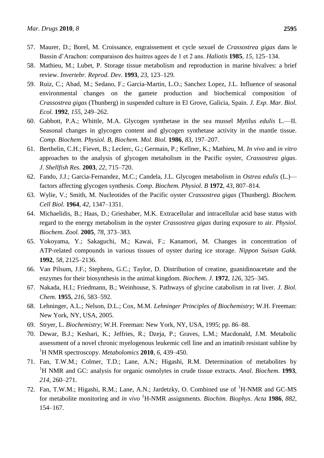- 57. Maurer, D.; Borel, M. Croissance, engraissement et cycle sexuel de *Crassostrea gigas* dans le Bassin d'Arachon: comparaison des huitres agees de 1 et 2 ans. *Haliotis* **1985**, *15*, 125–134.
- 58. Mathieu, M.; Lubet, P. Storage tissue metabolism and reproduction in marine bivalves: a brief review. *Invertebr. Reprod. Dev.* **1993**, *23*, 123–129.
- 59. Ruiz, C.; Abad, M.; Sedano, F.; Garcia-Martin, L.O.; Sanchez Lopez, J.L. Influence of seasonal environmental changes on the gamete production and biochemical composition of *Crassostrea gigas* (Thunberg) in suspended culture in El Grove, Galicia, Spain. *J. Exp. Mar. Biol. Ecol.* **1992**, *155*, 249–262.
- 60. Gabbott, P.A.; Whittle, M.A. Glycogen synthetase in the sea mussel *Mytilus edulis* L.—II. Seasonal changes in glycogen content and glycogen synthetase activity in the mantle tissue. *Comp. Biochem. Physiol. B, Biochem. Mol. Biol.* **1986**, *83*, 197–207.
- 61. Berthelin, C.H.; Fievet, B.; Leclerc, G.; Germain, P.; Kellner, K.; Mathieu, M. *In vivo* and *in vitro* approaches to the analysis of glycogen metabolism in the Pacific oyster, *Crassostrea gigas*. *J. Shellfish Res.* **2003**, *22*, 715–720.
- 62. Fando, J.J.; Garcia-Fernandez, M.C.; Candela, J.L. Glycogen metabolism in *Ostrea edulis* (L.) factors affecting glycogen synthesis. *Comp. Biochem. Physiol. B* **1972**, *43*, 807–814.
- 63. Wylie, V.; Smith, M. Nucleotides of the Pacific oyster *Crassostrea gigas* (Thunberg). *Biochem. Cell Biol.* **1964**, *42*, 1347–1351.
- 64. Michaelidis, B.; Haas, D.; Grieshaber, M.K. Extracellular and intracellular acid base status with regard to the energy metabolism in the oyster *Crassostrea gigas* during exposure to air. *Physiol. Biochem. Zool.* **2005**, *78*, 373–383.
- 65. Yokoyama, Y.; Sakaguchi, M.; Kawai, F.; Kanamori, M. Changes in concentration of ATP-related compounds in various tissues of oyster during ice storage. *Nippon Suisan Gakk.* **1992**, *58*, 2125–2136.
- 66. Van Pilsum, J.F.; Stephens, G.C.; Taylor, D. Distribution of creatine, guanidinoacetate and the enzymes for their biosynthesis in the animal kingdom. *Biochem. J.* **1972**, *126*, 325–345.
- 67. Nakada, H.I.; Friedmann, B.; Weinhouse, S. Pathways of glycine catabolism in rat liver. *J. Biol. Chem.* **1955**, *216*, 583–592.
- 68. Lehninger, A.L.; Nelson, D.L.; Cox, M.M. *Lehninger Principles of Biochemistry*; W.H. Freeman: New York, NY, USA, 2005.
- 69. Stryer, L. *Biochemistry*; W.H. Freeman: New York, NY, USA, 1995; pp. 86–88.
- 70. Dewar, B.J.; Keshari, K.; Jeffries, R.; Dzeja, P.; Graves, L.M.; Macdonald, J.M. Metabolic assessment of a novel chronic myelogenous leukemic cell line and an imatinib resistant subline by <sup>1</sup>H NMR spectroscopy. *Metabolomics* **2010**, *6*, 439–450.
- 71. Fan, T.W.M.; Colmer, T.D.; Lane, A.N.; Higashi, R.M. Determination of metabolites by <sup>1</sup>H NMR and GC: analysis for organic osmolytes in crude tissue extracts. *Anal. Biochem.* **1993**, *214*, 260–271.
- 72. Fan, T.W.M.; Higashi, R.M.; Lane, A.N.; Jardetzky, O. Combined use of <sup>1</sup>H-NMR and GC-MS for metabolite monitoring and *in vivo* <sup>1</sup>H-NMR assignments. *Biochim. Biophys. Acta* **1986**, *882*, 154–167.